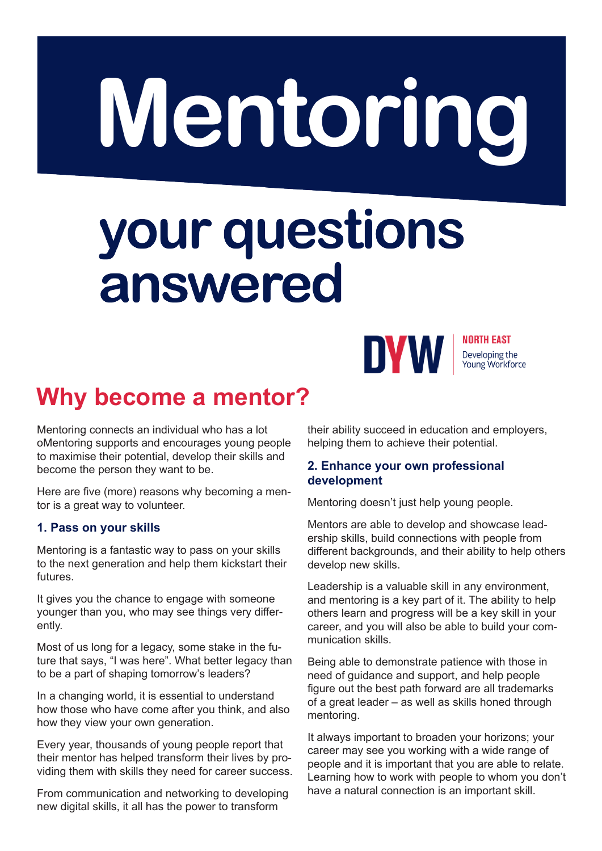## Mentoring

# your questions<br>answered



**NORTH EAST** Developing the Young Workforce

### **Why become a mentor?**

Mentoring connects an individual who has a lot oMentoring supports and encourages young people to maximise their potential, develop their skills and become the person they want to be.

Here are five (more) reasons why becoming a mentor is a great way to volunteer.

#### **1. Pass on your skills**

Mentoring is a fantastic way to pass on your skills to the next generation and help them kickstart their futures.

It gives you the chance to engage with someone younger than you, who may see things very differently.

Most of us long for a legacy, some stake in the future that says, "I was here". What better legacy than to be a part of shaping tomorrow's leaders?

In a changing world, it is essential to understand how those who have come after you think, and also how they view your own generation.

Every year, thousands of young people report that their mentor has helped transform their lives by providing them with skills they need for career success.

From communication and networking to developing new digital skills, it all has the power to transform

their ability succeed in education and employers, helping them to achieve their potential.

#### **2. Enhance your own professional development**

Mentoring doesn't just help young people.

Mentors are able to develop and showcase leadership skills, build connections with people from different backgrounds, and their ability to help others develop new skills.

Leadership is a valuable skill in any environment, and mentoring is a key part of it. The ability to help others learn and progress will be a key skill in your career, and you will also be able to build your communication skills.

Being able to demonstrate patience with those in need of guidance and support, and help people figure out the best path forward are all trademarks of a great leader – as well as skills honed through mentoring.

It always important to broaden your horizons; your career may see you working with a wide range of people and it is important that you are able to relate. Learning how to work with people to whom you don't have a natural connection is an important skill.